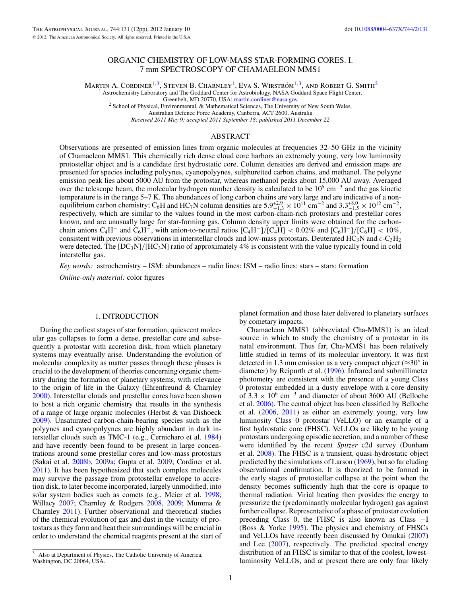# ORGANIC CHEMISTRY OF LOW-MASS STAR-FORMING CORES. I. 7 mm SPECTROSCOPY OF CHAMAELEON MMS1

MARTIN A. CORDINER<sup>1,[3](#page-0-0)</sup>, STEVEN B. CHARNLEY<sup>1</sup>, EVA S. WIRSTRÖM<sup>1,3</sup>, AND ROBERT G. SMITH<sup>2</sup> <sup>1</sup> Astrochemistry Laboratory and The Goddard Center for Astrobiology, NASA Goddard Space Flight Center, Greenbelt, MD 20770, USA; martin.cordiner@nasa.gov

 $^2$  School of Physical, Environmental, & Mathematical Sciences, The University of New South Wales,

Australian Defence Force Academy, Canberra, ACT 2600, Australia *Received 2011 May 9; accepted 2011 September 18; published 2011 December 22*

## ABSTRACT

Observations are presented of emission lines from organic molecules at frequencies 32–50 GHz in the vicinity of Chamaeleon MMS1. This chemically rich dense cloud core harbors an extremely young, very low luminosity protostellar object and is a candidate first hydrostatic core. Column densities are derived and emission maps are presented for species including polyynes, cyanopolyynes, sulphuretted carbon chains, and methanol. The polyyne emission peak lies about 5000 AU from the protostar, whereas methanol peaks about 15,000 AU away. Averaged over the telescope beam, the molecular hydrogen number density is calculated to be 10<sup>6</sup> cm<sup>−3</sup> and the gas kinetic temperature is in the range 5–7 K. The abundances of long carbon chains are very large and are indicative of a nonequilibrium carbon chemistry; C<sub>6</sub>H and HC<sub>7</sub>N column densities are  $5.9^{+2.9}_{-1.3} \times 10^{11}$  cm<sup>-2</sup> and  $3.3^{+8.0}_{-1.5} \times 10^{12}$  cm<sup>-2</sup>, respectively, which are similar to the values found in the most carbon-chain-rich protostars and prestellar cores known, and are unusually large for star-forming gas. Column density upper limits were obtained for the carbonchain anions C<sub>4</sub>H<sup>−</sup> and C<sub>6</sub>H<sup>−</sup>, with anion-to-neutral ratios  $\left[ C_4H^- \right] / \left[ C_4H \right] < 0.02\%$  and  $\left[ C_6H^- \right] / \left[ C_6H \right] < 10\%$ , consistent with previous observations in interstellar clouds and low-mass protostars. Deuterated HC<sub>3</sub>N and  $c$ -C<sub>3</sub>H<sub>2</sub> were detected. The  $[DC_3N]/[HC_3N]$  ratio of approximately 4% is consistent with the value typically found in cold interstellar gas.

*Key words:* astrochemistry – ISM: abundances – radio lines: ISM – radio lines: stars – stars: formation

*Online-only material:* color figures

### 1. INTRODUCTION

During the earliest stages of star formation, quiescent molecular gas collapses to form a dense, prestellar core and subsequently a protostar with accretion disk, from which planetary systems may eventually arise. Understanding the evolution of molecular complexity as matter passes through these phases is crucial to the development of theories concerning organic chemistry during the formation of planetary systems, with relevance to the origin of life in the Galaxy (Ehrenfreund & Charnley [2000\)](#page-10-0). Interstellar clouds and prestellar cores have been shown to host a rich organic chemistry that results in the synthesis of a range of large organic molecules (Herbst & van Dishoeck [2009\)](#page-10-1). Unsaturated carbon-chain-bearing species such as the polyynes and cyanopolyynes are highly abundant in dark interstellar clouds such as TMC-1 (e.g., Cernicharo et al. [1984\)](#page-10-2) and have recently been found to be present in large concentrations around some prestellar cores and low-mass protostars (Sakai et al. [2008b,](#page-11-0) [2009a;](#page-11-1) Gupta et al. [2009;](#page-10-3) Cordiner et al. [2011\)](#page-10-4). It has been hypothesized that such complex molecules may survive the passage from protostellar envelope to accretion disk, to later become incorporated, largely unmodified, into solar system bodies such as comets (e.g., Meier et al. [1998;](#page-10-5) Willacy [2007;](#page-11-2) Charnley & Rodgers [2008,](#page-10-6) [2009;](#page-10-7) Mumma & Charnley [2011\)](#page-10-8). Further observational and theoretical studies of the chemical evolution of gas and dust in the vicinity of protostars as they form and heat their surroundings will be crucial in order to understand the chemical reagents present at the start of planet formation and those later delivered to planetary surfaces by cometary impacts.

Chamaeleon MMS1 (abbreviated Cha-MMS1) is an ideal source in which to study the chemistry of a protostar in its natal environment. Thus far, Cha-MMS1 has been relatively little studied in terms of its molecular inventory. It was first detected in 1.3 mm emission as a very compact object ( $\approx 30''$  in diameter) by Reipurth et al. [\(1996\)](#page-10-9). Infrared and submillimeter photometry are consistent with the presence of a young Class 0 protostar embedded in a dusty envelope with a core density of  $3.3 \times 10^6$  cm<sup>-3</sup> and diameter of about 3600 AU (Belloche et al. [2006\)](#page-10-10). The central object has been classified by Belloche et al. [\(2006,](#page-10-10) [2011\)](#page-10-11) as either an extremely young, very low luminosity Class 0 protostar (VeLLO) or an example of a first hydrostatic core (FHSC). VeLLOs are likely to be young protostars undergoing episodic accretion, and a number of these were identified by the recent *Spitzer* c2d survey (Dunham et al. [2008\)](#page-10-12). The FHSC is a transient, quasi-hydrostatic object predicted by the simulations of Larson [\(1969\)](#page-10-13), but so far eluding observational confirmation. It is theorized to be formed in the early stages of protostellar collapse at the point when the density becomes sufficiently high that the core is opaque to thermal radiation. Virial heating then provides the energy to pressurize the (predominantly molecular hydrogen) gas against further collapse. Representative of a phase of protostar evolution preceding Class 0, the FHSC is also known as Class −I (Boss & Yorke [1995\)](#page-10-14). The physics and chemistry of FHSCs and VeLLOs have recently been discussed by Omukai [\(2007\)](#page-10-15) and Lee [\(2007\)](#page-10-16), respectively. The predicted spectral energy distribution of an FHSC is similar to that of the coolest, lowestluminosity VeLLOs, and at present there are only four likely

<span id="page-0-0"></span><sup>3</sup> Also at Department of Physics, The Catholic University of America, Washington, DC 20064, USA.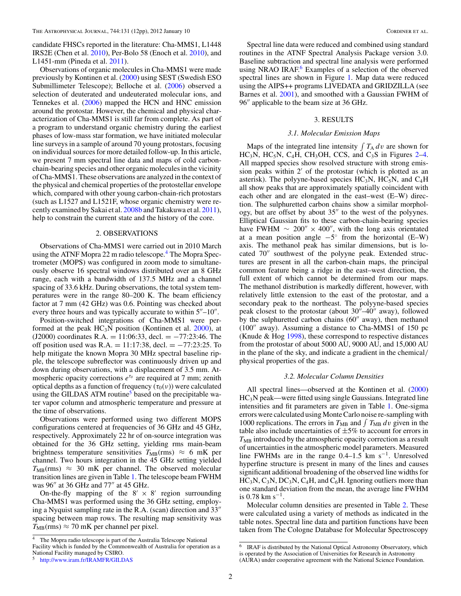candidate FHSCs reported in the literature: Cha-MMS1, L1448 IRS2E (Chen et al. [2010\)](#page-10-17), Per-Bolo 58 (Enoch et al. [2010\)](#page-10-18), and L1451-mm (Pineda et al. [2011\)](#page-10-19).

Observations of organic molecules in Cha-MMS1 were made previously by Kontinen et al. [\(2000\)](#page-10-20) using SEST (Swedish ESO Submillimeter Telescope); Belloche et al. [\(2006\)](#page-10-10) observed a selection of deuterated and undeuterated molecular ions, and Tennekes et al. [\(2006\)](#page-11-1) mapped the HCN and HNC emission around the protostar. However, the chemical and physical characterization of Cha-MMS1 is still far from complete. As part of a program to understand organic chemistry during the earliest phases of low-mass star formation, we have initiated molecular line surveys in a sample of around 70 young protostars, focusing on individual sources for more detailed follow-up. In this article, we present 7 mm spectral line data and maps of cold carbonchain-bearing species and other organic molecules in the vicinity of Cha-MMS1. These observations are analyzed in the context of the physical and chemical properties of the protostellar envelope which, compared with other young carbon-chain-rich protostars (such as L1527 and L1521F, whose organic chemistry were recently examined by Sakai et al. [2008b](#page-11-0) and Takakuwa et al. [2011\)](#page-11-3), help to constrain the current state and the history of the core.

## 2. OBSERVATIONS

Observations of Cha-MMS1 were carried out in 2010 March using the ATNF Mopra 22 m radio telescope.<sup>[4](#page-1-0)</sup> The Mopra Spectrometer (MOPS) was configured in zoom mode to simultaneously observe 16 spectral windows distributed over an 8 GHz range, each with a bandwidth of 137.5 MHz and a channel spacing of 33.6 kHz. During observations, the total system temperatures were in the range 80–200 K. The beam efficiency factor at 7 mm (42 GHz) was 0.6. Pointing was checked about every three hours and was typically accurate to within  $5''-10''$ .

Position-switched integrations of Cha-MMS1 were performed at the peak  $HC_3N$  position (Kontinen et al.  $2000$ ), at (J2000) coordinates R.A. = 11:06:33, decl. =  $-77:23:46$ . The off position used was R.A. = 11:17:38, decl. =  $-77:23:25$ . To help mitigate the known Mopra 30 MHz spectral baseline ripple, the telescope subreflector was continuously driven up and down during observations, with a displacement of 3.5 mm. Atmospheric opacity corrections  $e^{\tau_\theta}$  are required at 7 mm; zenith optical depths as a function of frequency  $(\tau_0(\nu))$  were calculated using the GILDAS ATM routine<sup>[5](#page-1-1)</sup> based on the precipitable water vapor column and atmospheric temperature and pressure at the time of observations.

Observations were performed using two different MOPS configurations centered at frequencies of 36 GHz and 45 GHz, respectively. Approximately 22 hr of on-source integration was obtained for the 36 GHz setting, yielding rms main-beam brightness temperature sensitivities  $T_{MB}(rms) \approx 6$  mK per channel. Two hours integration in the 45 GHz setting yielded  $T_{MB}(rms) \approx 30$  mK per channel. The observed molecular transition lines are given in Table [1.](#page-2-0) The telescope beam FWHM was 96" at 36 GHz and 77" at 45 GHz.

<span id="page-1-2"></span><span id="page-1-1"></span><span id="page-1-0"></span>On-the-fly mapping of the  $8' \times 8'$  region surrounding Cha-MMS1 was performed using the 36 GHz setting, employing a Nyquist sampling rate in the R.A. (scan) direction and  $33$ " spacing between map rows. The resulting map sensitivity was  $T_{\text{MB}}(\text{rms}) \approx 70 \text{ mK}$  per channel per pixel.

Spectral line data were reduced and combined using standard routines in the ATNF Spectral Analysis Package version 3.0. Baseline subtraction and spectral line analysis were performed using NRAO IRAF.<sup>[6](#page-1-2)</sup> Examples of a selection of the observed spectral lines are shown in Figure [1.](#page-3-0) Map data were reduced using the AIPS++ programs LIVEDATA and GRIDZILLA (see Barnes et al. [2001\)](#page-10-21), and smoothed with a Gaussian FWHM of 96" applicable to the beam size at 36 GHz.

## 3. RESULTS

## *3.1. Molecular Emission Maps*

Maps of the integrated line intensity  $\int T_A dv$  are shown for  $HC<sub>3</sub>N$ ,  $HC<sub>5</sub>N$ ,  $C<sub>4</sub>H$ ,  $CH<sub>3</sub>OH$ , CCS, and  $C<sub>3</sub>S$  in Figures [2–](#page-3-1)[4.](#page-4-0) All mapped species show resolved structure with strong emission peaks within 2' of the protostar (which is plotted as an asterisk). The polyyne-based species  $HC_3N$ ,  $HC_5N$ , and  $C_4H$ all show peaks that are approximately spatially coincident with each other and are elongated in the east–west (E–W) direction. The sulphuretted carbon chains show a similar morphology, but are offset by about  $35''$  to the west of the polyynes. Elliptical Gaussian fits to these carbon-chain-bearing species have FWHM  $\sim 200'' \times 400''$ , with the long axis orientated at a mean position angle  $-5°$  from the horizontal (E–W) axis. The methanol peak has similar dimensions, but is located 70" southwest of the polyyne peak. Extended structures are present in all the carbon-chain maps, the principal common feature being a ridge in the east–west direction, the full extent of which cannot be determined from our maps. The methanol distribution is markedly different, however, with relatively little extension to the east of the protostar, and a secondary peak to the northeast. The polyyne-based species peak closest to the protostar (about  $30'' - 40''$  away), followed by the sulphuretted carbon chains  $(60<sup>''</sup>$  away), then methanol  $(100''$  away). Assuming a distance to Cha-MMS1 of 150 pc (Knude & Hog [1998\)](#page-10-22), these correspond to respective distances from the protostar of about 5000 AU, 9000 AU, and 15,000 AU in the plane of the sky, and indicate a gradient in the chemical/ physical properties of the gas.

### *3.2. Molecular Column Densities*

All spectral lines—observed at the Kontinen et al. [\(2000\)](#page-10-20) HC3N peak—were fitted using single Gaussians. Integrated line intensities and fit parameters are given in Table [1.](#page-2-0) One-sigma errors were calculated using Monte Carlo noise re-sampling with 1000 replications. The errors in  $T_{MB}$  and  $\int T_{MB} dv$  given in the table also include uncertainties of  $\pm 5\%$  to account for errors in  $T<sub>MB</sub>$  introduced by the atmospheric opacity correction as a result of uncertainties in the atmospheric model parameters. Measured line FWHMs are in the range  $0.4-1.5$  km s<sup>-1</sup>. Unresolved hyperfine structure is present in many of the lines and causes significant additional broadening of the observed line widths for  $HC<sub>3</sub>N, C<sub>3</sub>N, DC<sub>3</sub>N, C<sub>4</sub>H, and C<sub>6</sub>H. Ignoring outliers more than$ one standard deviation from the mean, the average line FWHM is 0.78 km s<sup>-1</sup>.

Molecular column densities are presented in Table [2.](#page-6-0) These were calculated using a variety of methods as indicated in the table notes. Spectral line data and partition functions have been taken from The Cologne Database for Molecular Spectroscopy

The Mopra radio telescope is part of the Australia Telescope National Facility which is funded by the Commonwealth of Australia for operation as a National Facility managed by CSIRO.

<sup>5</sup> <http://www.iram.fr/IRAMFR/GILDAS>

<sup>&</sup>lt;sup>6</sup> IRAF is distributed by the National Optical Astronomy Observatory, which is operated by the Association of Universities for Research in Astronomy (AURA) under cooperative agreement with the National Science Foundation.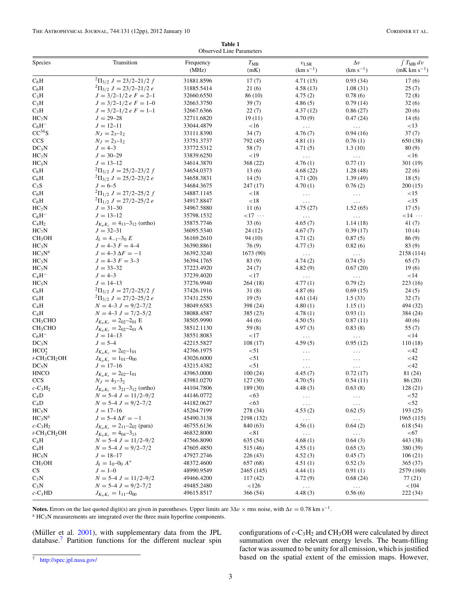| Table 1                         |  |  |  |  |  |  |
|---------------------------------|--|--|--|--|--|--|
| <b>Observed Line Parameters</b> |  |  |  |  |  |  |

<span id="page-2-0"></span>

| Species                                 | Transition                            | Frequency  | $T_{\rm MB}$    | $v_{\rm LSR}$        | $\Delta v$          | $\int T_{\rm MB} dv$   |
|-----------------------------------------|---------------------------------------|------------|-----------------|----------------------|---------------------|------------------------|
|                                         |                                       | (MHz)      | (mK)            | $(km s^{-1})$        | $(km s^{-1})$       | $(mK \, km \, s^{-1})$ |
| $C_6H$                                  | ${}^{2}\Pi_{3/2} J = 23/2 - 21/2 f$   | 31881.8596 | 17(7)           | 4.71(15)             | 0.93(34)            | 17(6)                  |
| $C_6H$                                  | ${}^{2}\Pi_{3/2} J = 23/2 - 21/2 e$   | 31885.5414 | 21(6)           | 4.58(13)             | 1.08(31)            | 25(7)                  |
| $C_3H$                                  | $J = 3/2 - 1/2 e F = 2 - 1$           | 32660.6550 | 86 (10)         | 4.75(2)              | 0.78(6)             | 72(8)                  |
| $C_3H$                                  | $J = 3/2 - 1/2 e F = 1 - 0$           | 32663.3750 | 39(7)           | 4.86(5)              | 0.79(14)            | 32(6)                  |
| $C_3H$                                  | $J = 3/2 - 1/2 e F = 1 - 1$           | 32667.6366 | 22(7)           | 4.37(12)             | 0.86(27)            | 20(6)                  |
| $HC_7N$                                 | $J = 29 - 28$                         | 32711.6820 | 19(11)          | 4.70(9)              | 0.47(24)            | 14(6)                  |
| $C_6H^-$                                | $J = 12 - 11$                         | 33044.4879 | <16             | $\sim$ .             | $\ldots$            | <13                    |
| $CC^{34}S$                              | $N_J = 2_{3}-1_2$                     | 33111.8390 | 34(7)           | 4.76(7)              | 0.94(16)            | 37(7)                  |
| CCS                                     | $N_J = 2_{3}-1_2$                     | 33751.3737 | 792 (45)        | 4.81(1)              | 0.76(1)             | 650 (38)               |
| DC <sub>3</sub> N                       | $J = 4 - 3$                           | 33772.5312 | 58 (7)          | 4.71(5)              | 1.3(10)             | 80(9)                  |
| $HC_7N$                                 | $J = 30 - 29$                         | 33839.6250 | <19             | $\ldots$             | $\ldots$            | <16                    |
| $HC_5N$                                 | $J = 13 - 12$                         | 34614.3870 | 368 (22)        | 4.76(1)              | 0.77(1)             | 301(19)                |
| $C_6H$                                  | ${}^{2}\Pi_{3/2} J = 25/2 - 23/2 f$   | 34654.0373 | 13(6)           | 4.68(22)             | 1.28(48)            | 22(6)                  |
| $C_6H$                                  | ${}^{2}\Pi_{3/2}$ J = 25/2-23/2 e     | 34658.3831 | 14(5)           | 4.71(20)             | 1.39(49)            | 18(5)                  |
| $C_3S$                                  | $J = 6 - 5$                           | 34684.3675 | 247(17)         | 4.70(1)              | 0.76(2)             | 200(15)                |
| $C_6H$                                  | ${}^{2}\Pi_{1/2}$ J = 27/2-25/2 f     | 34887.1145 | $<18$           | $\sim$ $\sim$ $\sim$ | $\ldots$            | <15                    |
| $C_6H$                                  | ${}^{2}\Pi_{1/2}$ J = 27/2-25/2 e     | 34917.8847 | < 18            | $\ldots$             | $\ddotsc$           | <15                    |
| $HC_7N$                                 | $J = 31 - 30$                         | 34967.5880 | 11(6)           | 4.75 (27)            | 1.52(65)            | 17(5)                  |
| $C_6H^-$                                | $J = 13 - 12$                         | 35798.1532 | $<$ 17 $\cdots$ | $\ldots$             | $\ldots$            | $<$ 14 $\cdots$        |
| $C_4H_2$                                | $J_{K_aK_c} = 4_{13}-3_{12}$ (ortho)  | 35875.7746 | 33(6)           | 4.65(7)              | 1.14(18)            | 41(7)                  |
| $HC_7N$                                 | $J = 32 - 31$                         | 36095.5340 | 24(12)          | 4.67(7)              | 0.39(17)            | 10(4)                  |
| CH <sub>3</sub> OH                      | $J_k = 4_{-1} - 3_0 E$                | 36169.2610 | 94(10)          | 4.71(2)              | 0.87(5)             | 86(9)                  |
| HC <sub>3</sub> N                       | $J = 4-3 F = 4-4$                     | 36390.8861 | 76(9)           | 4.77(3)              | 0.82(6)             | 83(9)                  |
| $HC_3N^a$                               | $J = 4 - 3 \Delta F = -1$             | 36392.3240 | 1673 (90)       | $\sim$ .             | $\ldots$            | 2158 (114)             |
| HC <sub>3</sub> N                       | $J = 4-3 F = 3-3$                     | 36394.1765 | 83 (9)          | 4.74(2)              | 0.74(5)             | 65(7)                  |
| $HC_7N$                                 | $J = 33 - 32$                         | 37223.4920 | 24(7)           | 4.82(9)              | 0.67(20)            | 19(6)                  |
| $C_4H^-$                                | $J = 4 - 3$                           | 37239.4020 | ${<}17$         | $\sim$ $\sim$ $\sim$ | $\ldots$            | <14                    |
| $HC_5N$                                 | $J = 14 - 13$                         | 37276.9940 | 264(18)         | 4.77(1)              | 0.79(2)             | 223(16)                |
| $C_6H$                                  | ${}^{2}\Pi_{3/2}$ J = 27/2-25/2 f     | 37426.1916 | 31(8)           | 4.87(6)              | 0.69(15)            | 24(5)                  |
| $C_6H$                                  | ${}^{2}\Pi_{3/2}$ J = 27/2-25/2 e     | 37431.2550 | 19(5)           | 4.61(14)             | 1.5(33)             | 32(7)                  |
| $C_4H$                                  | $N = 4-3$ $J = 9/2-7/2$               | 38049.6583 | 398 (24)        | 4.80(1)              | 1.15(1)             | 494 (32)               |
| $C_4H$                                  | $N = 4 - 3 J = 7/2 - 5/2$             | 38088.4587 | 385 (23)        | 4.78(1)              | 0.93(1)             | 384 (24)               |
| CH <sub>3</sub> CHO                     | $J_{K_aK_c}=2_{02}-2_{01}E$           | 38505.9990 | 44(6)           | 4.50(5)              | 0.87(11)            | 40(6)                  |
| CH <sub>3</sub> CHO                     | $J_{K_aK_c} = 2_{02}-2_{01}$ A        | 38512.1130 | 59(8)           | 4.97(3)              | 0.83(8)             | 55(7)                  |
| $C_6H^-$                                | $J = 14 - 13$                         | 38551.8083 | <17             | $\sim$ .             | $\sim$ .            | <14                    |
| $DC_3N$                                 | $J = 5 - 4$                           | 42215.5827 | 108(17)         | 4.59(5)              | 0.95(12)            | 110(18)                |
| HCO <sub>2</sub>                        | $J_{K_aK_c}=2_{02}-1_{01}$            | 42766.1975 | < 51            | $\ldots$             | $\ddotsc$           | <42                    |
| $t$ -CH <sub>3</sub> CH <sub>2</sub> OH | $J_{K_aK_c}=1_{01}-0_{00}$            | 43026.6000 | < 51            | $\sim$ $\sim$ $\sim$ | $\ddotsc$           | <42                    |
| $DC_5N$                                 | $J = 17 - 16$                         | 43215.4382 | < 51            | $\ldots$             | $\ddotsc$           | <42                    |
| <b>HNCO</b>                             | $J_{K_aK_c}=2_{02}-1_{01}$            | 43963.0000 | 100(24)         | 4.45(7)              | 0.72(17)            | 81 (24)                |
| CCS                                     | $N_J = 4_3 - 3_2$                     | 43981.0270 | 127(30)         | 4.70(5)              | 0.54(11)            | 86(20)                 |
| $c$ -C <sub>3</sub> H <sub>2</sub>      | $J_{K_aK_c} = 3_{21}-3_{12}$ (ortho)  | 44104.7806 | 189 (30)        | 4.48(3)              | 0.63(8)             | 128(21)                |
| $C_4D$                                  | $N = 5-4 J = 11/2-9/2$                | 44146.0772 | <63             | $\sim$ $\sim$ $\sim$ | $\ldots$            | < 52                   |
| $C_4D$                                  | $N = 5-4$ $J = 9/2-7/2$               | 44182.0627 | <63             | $\ldots$             | $\ldots$ .          | < 52                   |
| $HC_5N$                                 | $J = 17 - 16$                         | 45264.7199 | 278 (34)        | 4.53(2)              | 0.62(5)             | 193(25)                |
| $HC_3N^a$                               | $J = 5 - 4 \Delta F = -1$             | 45490.3138 | 2198 (132)      | $\sim$ .             | $\ldots$            | 1965 (115)             |
| $c$ -C <sub>3</sub> H <sub>2</sub>      | $J_{K_aK_c} = 2_{11} - 2_{02}$ (para) | 46755.6136 | 840 (63)        | 4.56(1)              | 0.64(2)             | 618 (54)               |
| $t$ -CH <sub>3</sub> CH <sub>2</sub> OH | $J_{K_aK_c} = 4_{04} - 3_{13}$        | 46832.8000 | < 81            | $\ldots$             | $\ldots$            | < 67                   |
| $C_4H$                                  | $N = 5-4 J = 11/2-9/2$                | 47566.8090 | 635(54)         | 4.68(1)              | 0.64(3)             | 443 (38)               |
| $C_4H$                                  | $N = 5-4$ $J = 9/2-7/2$               | 47605.4850 | 515 (46)        | 4.55(1)              | 0.65(3)             | 380 (39)               |
| $HC_5N$                                 | $J = 18 - 17$                         | 47927.2746 | 226(43)         | 4.52(3)              | 0.45(7)             | 106(21)                |
| CH <sub>3</sub> OH                      | $J_k = 1_0 - 0_0 A^+$                 | 48372.4600 | 657 (68)        | 4.51(1)              | 0.52(3)             | 365 (37)               |
| CS                                      | $J = 1 - 0$                           | 48990.9549 | 2465 (145)      | 4.44(1)              | 0.91(1)             | 2579 (160)             |
| $C_3N$                                  | $N = 5-4 J = 11/2-9/2$                | 49466.4200 | 117(42)         | 4.72(9)              | 0.68(24)            | 77 (21)                |
| $C_3N$                                  | $N = 5-4$ $J = 9/2-7/2$               | 49485.2480 | 126             |                      |                     | < 104                  |
| $c$ -C <sub>3</sub> HD                  |                                       | 49615.8517 | 366 (54)        | $\ldots$<br>4.48(3)  | $\ldots$<br>0.56(6) | 222 (34)               |
|                                         | $J_{K_aK_c} = 1_{11} - 0_{00}$        |            |                 |                      |                     |                        |

<span id="page-2-1"></span>**Notes.** Errors on the last quoted digit(s) are given in parentheses. Upper limits are  $3\Delta v \times$  rms noise, with  $\Delta v = 0.78$  km s<sup>-1</sup>. a HC<sub>3</sub>N measurements are integrated over the three main hyperfine components.

(Müller et al.  $2001$ ), with supplementary data from the JPL database[.7](#page-2-1) Partition functions for the different nuclear spin

configurations of *c*-C3H2 and CH3OH were calculated by direct summation over the relevant energy levels. The beam-filling factor was assumed to be unity for all emission, which is justified based on the spatial extent of the emission maps. However,

<sup>7</sup> <http://spec.jpl.nasa.gov/>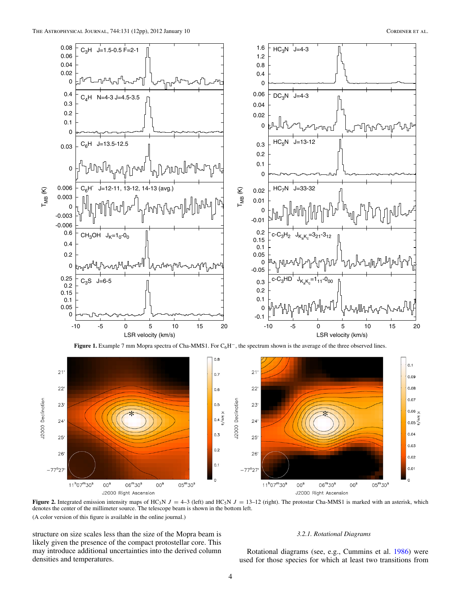

<span id="page-3-0"></span>

<span id="page-3-2"></span><span id="page-3-1"></span>**Figure 2.** Integrated emission intensity maps of HC<sub>3</sub>N  $J = 4-3$  (left) and HC<sub>5</sub>N  $J = 13-12$  (right). The protostar Cha-MMS1 is marked with an asterisk, which denotes the center of the millimeter source. The telescope beam is shown in the bottom left. (A color version of this figure is available in the online journal.)

structure on size scales less than the size of the Mopra beam is likely given the presence of the compact protostellar core. This may introduce additional uncertainties into the derived column densities and temperatures.

# *3.2.1. Rotational Diagrams*

Rotational diagrams (see, e.g., Cummins et al. [1986\)](#page-10-24) were used for those species for which at least two transitions from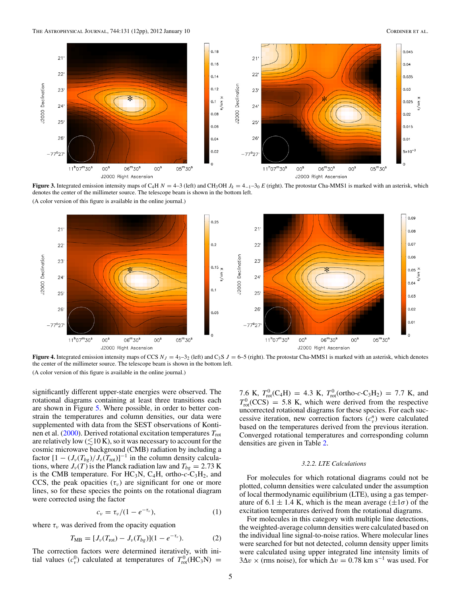

<span id="page-4-1"></span>**Figure 3.** Integrated emission intensity maps of C<sub>4</sub>H  $N = 4-3$  (left) and CH<sub>3</sub>OH  $J_k = 4-1-30$  *E* (right). The protostar Cha-MMS1 is marked with an asterisk, which denotes the center of the millimeter source. The telescope beam is shown in the bottom left. (A color version of this figure is available in the online journal.)



<span id="page-4-0"></span>**Figure 4.** Integrated emission intensity maps of CCS  $N_J = 4_{3} - 3_{2}$  (left) and C<sub>3</sub>S  $J = 6 - 5$  (right). The protostar Cha-MMS1 is marked with an asterisk, which denotes the center of the millimeter source. The telescope beam is shown in the bottom left. (A color version of this figure is available in the online journal.)

significantly different upper-state energies were observed. The rotational diagrams containing at least three transitions each are shown in Figure [5.](#page-5-0) Where possible, in order to better constrain the temperatures and column densities, our data were supplemented with data from the SEST observations of Konti-nen et al. [\(2000\)](#page-10-20). Derived rotational excitation temperatures  $T_{\text{rot}}$ are relatively low  $(\leq 10 \text{ K})$ , so it was necessary to account for the cosmic microwave background (CMB) radiation by including a factor  $[1 - (J_{\nu}(T_{bg})/J_{\nu}(T_{\text{rot}})]^{-1}$  in the column density calculations, where  $J_{\nu}(T)$  is the Planck radiation law and  $T_{be} = 2.73$  K is the CMB temperature. For  $HC_3N$ ,  $C_4H$ , ortho- $c$ -C<sub>3</sub>H<sub>2</sub>, and CCS, the peak opacities  $(\tau_{\nu})$  are significant for one or more lines, so for these species the points on the rotational diagram were corrected using the factor

$$
c_{\nu}=\tau_{\nu}/(1-e^{-\tau_{\nu}}), \qquad (1)
$$

where  $\tau_{\nu}$  was derived from the opacity equation

$$
T_{\text{MB}} = [J_{\nu}(T_{\text{rot}}) - J_{\nu}(T_{bg})](1 - e^{-\tau_{\nu}}). \tag{2}
$$

The correction factors were determined iteratively, with initial values  $(c_v^0)$  calculated at temperatures of  $T_{\text{rot}}^0(\text{HC}_3\text{N}) =$ 

7.6 K,  $T_{\text{rot}}^0(C_4H) = 4.3$  K,  $T_{\text{rot}}^0(\text{ortho-}c-C_3H_2) = 7.7$  K, and  $T_{\text{rot}}^0(\text{CCS})$  = 5.8 K, which were derived from the respective uncorrected rotational diagrams for these species. For each successive iteration, new correction factors  $(c_v^n)$  were calculated based on the temperatures derived from the previous iteration. Converged rotational temperatures and corresponding column densities are given in Table [2.](#page-6-0)

## *3.2.2. LTE Calculations*

For molecules for which rotational diagrams could not be plotted, column densities were calculated under the assumption of local thermodynamic equilibrium (LTE), using a gas temperature of 6.1  $\pm$  1.4 K, which is the mean average ( $\pm 1\sigma$ ) of the excitation temperatures derived from the rotational diagrams.

For molecules in this category with multiple line detections, the weighted-average column densities were calculated based on the individual line signal-to-noise ratios. Where molecular lines were searched for but not detected, column density upper limits were calculated using upper integrated line intensity limits of  $3\Delta v \times$  (rms noise), for which  $\Delta v = 0.78$  km s<sup>-1</sup> was used. For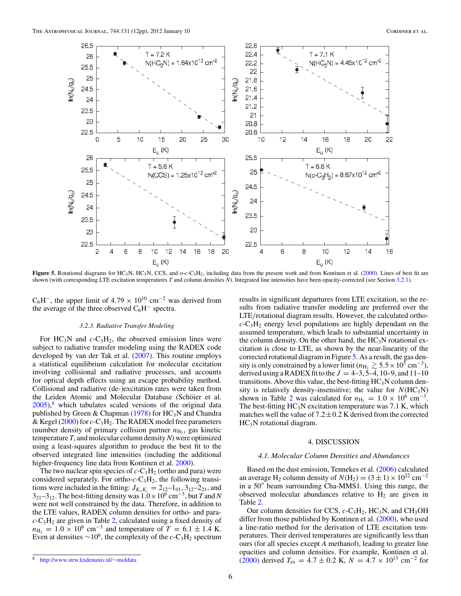

<span id="page-5-2"></span><span id="page-5-0"></span>Figure 5. Rotational diagrams for HC<sub>3</sub>N, HC<sub>5</sub>N, CCS, and o-c-C<sub>3</sub>H<sub>2</sub>, including data from the present work and from Kontinen et al. [\(2000\)](#page-10-20). Lines of best fit are shown (with corresponding LTE excitation temperatures *T* and column densities *N*). Integrated line intensities have been opacity-corrected (see Section [3.2.1\)](#page-3-2).

 $C_6H^-$ , the upper limit of 4.79 × 10<sup>10</sup> cm<sup>-2</sup> was derived from the average of the three observed  $C_6H^-$  spectra.

# *3.2.3. Radiative Transfer Modeling*

For  $HC_3N$  and  $c-C_3H_2$ , the observed emission lines were subject to radiative transfer modeling using the RADEX code developed by van der Tak et al. [\(2007\)](#page-11-4). This routine employs a statistical equilibrium calculation for molecular excitation involving collisional and radiative processes, and accounts for optical depth effects using an escape probability method. Collisional and radiative (de-)excitation rates were taken from the Leiden Atomic and Molecular Database (Schöier et al.  $2005$ ,<sup>[8](#page-5-1)</sup> which tabulates scaled versions of the original data published by Green & Chapman [\(1978\)](#page-10-25) for  $HC_3N$  and Chandra & Kegel [\(2000\)](#page-10-26) for *c*-C3H2. The RADEX model free parameters (number density of primary collision partner  $n_{\text{H}_2}$ , gas kinetic temperature *T*, and molecular column density*N*) were optimized using a least-squares algorithm to produce the best fit to the observed integrated line intensities (including the additional higher-frequency line data from Kontinen et al. [2000\)](#page-10-20).

<span id="page-5-1"></span>The two nuclear spin species of  $c$ -C<sub>3</sub>H<sub>2</sub> (ortho and para) were considered separately. For ortho- $c$ -C<sub>3</sub>H<sub>2</sub>, the following transitions were included in the fitting:  $J_{K_aK_c} = 2_{12} - 1_{01}$ ,  $3_{12} - 2_{21}$ , and  $3_{21}-3_{12}$ . The best-fitting density was  $1.0\times10^6$  cm<sup>-3</sup>, but *T* and *N* were not well constrained by the data. Therefore, in addition to the LTE values, RADEX column densities for ortho- and para $c$ -C<sub>3</sub>H<sub>2</sub> are given in Table [2,](#page-6-0) calculated using a fixed density of  $n_{\text{H}_2} = 1.0 \times 10^6 \text{ cm}^{-3}$  and temperature of  $T = 6.1 \pm 1.4 \text{ K}$ . Even at densities  $\sim 10^6$ , the complexity of the *c*-C<sub>3</sub>H<sub>2</sub> spectrum results in significant departures from LTE excitation, so the results from radiative transfer modeling are preferred over the LTE/rotational diagram results. However, the calculated ortho $c$ -C<sub>3</sub>H<sub>2</sub> energy level populations are highly dependant on the assumed temperature, which leads to substantial uncertainty in the column density. On the other hand, the  $HC<sub>3</sub>N$  rotational excitation is close to LTE, as shown by the near-linearity of the corrected rotational diagram in Figure [5.](#page-5-0) As a result, the gas density is only constrained by a lower limit ( $n_{\text{H}_2} \gtrsim 5.5 \times 10^5 \text{ cm}^{-3}$ ), derived using a RADEX fit to the  $J = 4-3, 5-4, 10-9,$  and  $11-10$ transitions. Above this value, the best-fitting  $HC<sub>3</sub>N$  column density is relatively density-insensitive; the value for  $N(HC_3N)$ shown in Table [2](#page-6-0) was calculated for  $n_{\text{H}_2} = 1.0 \times 10^6 \text{ cm}^{-3}$ . The best-fitting  $HC_3N$  excitation temperature was 7.1 K, which matches well the value of  $7.2 \pm 0.2$  K derived from the corrected  $HC<sub>3</sub>N$  rotational diagram.

## 4. DISCUSSION

### *4.1. Molecular Column Densities and Abundances*

Based on the dust emission, Tennekes et al. [\(2006\)](#page-11-1) calculated an average H<sub>2</sub> column density of  $N(H_2) = (3 \pm 1) \times 10^{22}$  cm<sup>-2</sup> in a 50" beam surrounding Cha-MMS1. Using this range, the observed molecular abundances relative to  $H_2$  are given in Table [2.](#page-6-0)

Our column densities for CCS,  $c$ -C<sub>3</sub>H<sub>2</sub>, HC<sub>3</sub>N, and CH<sub>3</sub>OH differ from those published by Kontinen et al. [\(2000\)](#page-10-20), who used a line-ratio method for the derivation of LTE excitation temperatures. Their derived temperatures are significantly less than ours (for all species except *A* methanol), leading to greater line opacities and column densities. For example, Kontinen et al. [\(2000\)](#page-10-20) derived  $T_{ex} = 4.7 \pm 0.2$  K,  $N = 4.7 \times 10^{13}$  cm<sup>-2</sup> for

<sup>8</sup> [http://www.strw.leidenuniv.nl/](http://www.strw.leidenuniv.nl/~moldata)∼moldata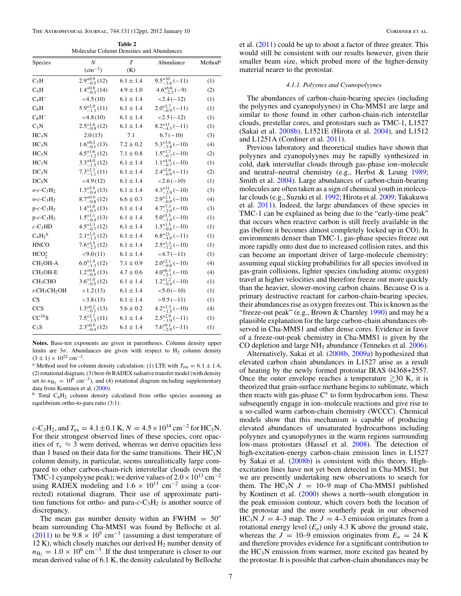**Table 2** Molecular Column Densities and Abundances

<span id="page-6-1"></span><span id="page-6-0"></span>

| Species                                 | $\boldsymbol{N}$         | $\overline{T}$ | Abundance                 | Method <sup>a</sup> |
|-----------------------------------------|--------------------------|----------------|---------------------------|---------------------|
|                                         | $(cm^{-2})$              | (K)            |                           |                     |
| $C_3H$                                  | $2.9^{+0.9}_{-0.5}$ (12) | $6.1 \pm 1.4$  | $9.5^{+10}_{-3.6}(-11)$   | (1)                 |
| $C_4H$                                  | $1.4^{+0.8}_{-0.5}$ (14) | $4.9 \pm 1.0$  | $4.6^{+6.6}_{-2.3}(-9)$   | (2)                 |
| $C_4H^-$                                | $<$ 4.5 (10)             | $6.1 \pm 1.4$  | $<$ 2.4 ( $-12$ )         | (1)                 |
| $C_6H$                                  | $5.9^{+2.9}_{-1.3}$ (11) | $6.1 \pm 1.4$  | $2.0^{+2.7}_{-0.9}(-11)$  | (1)                 |
| $C_6H^-$                                | $<$ 4.8 (10)             | $6.1 \pm 1.4$  | $<2.5(-12)$               | (1)                 |
| $C_3N$                                  | $2.5^{+1.6}_{-0.9}$ (12) | $6.1 \pm 1.4$  | $8.2^{+13}_{-4.3}(-11)$   | (1)                 |
| HC <sub>3</sub> N                       | 2.0(13)                  | 7.1            | $6.7(-10)$                | (3)                 |
| HC <sub>3</sub> N                       | $1.6^{+0.2}_{-0.1}$ (13) | $7.2 \pm 0.2$  | $5.3^{+3.6}_{-3.8}(-10)$  | (4)                 |
| $HC_5N$                                 | $4.5^{+1.6}_{-1.2}$ (12) | $7.1 \pm 0.8$  | $1.5^{+1.7}_{-0.7}$ (-10) | (2)                 |
| $HC_7N$                                 | $3.3^{+8.0}_{-1.5}$ (12) | $6.1 \pm 1.4$  | $1.1^{+4.9}_{-0.7}(-10)$  | (1)                 |
| DC <sub>3</sub> N                       | $7.3^{+2.3}_{-1.1}$ (11) | $6.1 \pm 1.4$  | $2.4^{+2.6}_{-0.9}(-11)$  | (2)                 |
| $DC_5N$                                 | $<$ 4.9(12)              | $6.1 \pm 1.4$  | $<2.6(-10)$               | (1)                 |
| $o-c-C_3H_2$                            | $1.3_{-0.4}^{+5.9}$ (13) | $6.1 \pm 1.4$  | $4.3^{+31}_{-20}(-10)$    | (3)                 |
| $o-c-C_3H_2$                            | $8.7^{+0.9}_{-0.8}$ (12) | $6.6 \pm 0.3$  | $2.9^{+2.1}_{-0.9}(-10)$  | (4)                 |
| $p-c-C_3H_2$                            | $1.4^{+1.0}_{-0.3}$ (13) | $6.1 \pm 1.4$  | $4.7^{+7.3}_{-2.0}(-10)$  | (3)                 |
| $p-c-C_3H_2$                            | $1.5^{+1.1}_{-0.4}$ (13) | $6.1 \pm 1.4$  | $5.0^{+5.5}_{-1.0}(-10)$  | (1)                 |
| $c$ -C <sub>3</sub> HD                  | $4.5^{+1.3}_{-0.7}$ (12) | $6.1 \pm 1.4$  | $1.5^{+1.5}_{-0.6}(-10)$  | (1)                 |
| $C_4H_2^b$                              | $2.1_{-1.3}^{+3.5}$ (12) | $6.1 \pm 1.4$  | $6.8^{+23}_{-4.9}(-11)$   | (1)                 |
| <b>HNCO</b>                             | $7.6^{+3.5}_{-2.3}$ (12) | $6.1 \pm 1.4$  | $2.5^{+3.3}_{-1.2}(-10)$  | (1)                 |
| HCO <sub>2</sub>                        | < 9.0(11)                | $6.1 \pm 1.4$  | $<$ 4.7 $(-11)$           | (1)                 |
| $CH3OH-A$                               | $6.0^{+1.9}_{-1.3}$ (12) | $7.1 \pm 0.9$  | $2.0^{+2.1}_{-0.8}(-10)$  | (4)                 |
| $CH3OH-E$                               | $1.2^{+0.8}_{-0.5}$ (13) | $4.7 \pm 0.6$  | $4.0^{+6.3}_{-2.1}(-10)$  | (4)                 |
| CH <sub>3</sub> CHO                     | $3.6^{+1.0}_{-0.5}$ (12) | $6.1 \pm 1.4$  | $1.2^{+1.2}_{-0.4}(-10)$  | (1)                 |
| $t$ -CH <sub>3</sub> CH <sub>2</sub> OH | <1.2(13)                 | $6.1 \pm 1.4$  | $< 5.0 (-10)$             | (1)                 |
| CS                                      | $>$ 3.8 (13)             | $6.1 \pm 1.4$  | $>9.5(-11)$               | (1)                 |
| <b>CCS</b>                              | $1.3^{+0.2}_{-0.1}$ (13) | $5.6 \pm 0.2$  | $4.2^{+3.3}_{-1.5}(-10)$  | (4)                 |
| $CC^{34}S$                              | $7.5^{+2.7}_{-1.5}$ (11) | $6.1 \pm 1.4$  | $2.5^{+2.9}_{-1.0}(-11)$  | (1)                 |
| $C_3S$                                  | $2.3^{+0.9}_{-0.4}$ (12) | $6.1 \pm 1.4$  | $7.6^{+9.1}_{-2.9}(-11)$  | (1)                 |

**Notes.** Base-ten exponents are given in parentheses. Column density upper limits are  $3\sigma$ . Abundances are given with respect to H<sub>2</sub> column density  $(3 \pm 1) \times 10^{22}$  cm<sup>-2</sup>.

<sup>a</sup> Method used for column density calculation: (1) LTE with  $T_{\text{rot}} = 6.1 \pm 1.4$ , (2) rotational diagram, (3) best-fit RADEX radiative transfer model (with density set to  $n_{\text{H}_2} = 10^6 \text{ cm}^{-3}$ ), and (4) rotational diagram including supplementary data from Kontinen et al. [\(2000\)](#page-10-20).

 $b$  Total C<sub>4</sub>H<sub>2</sub> column density calculated from ortho species assuming an equilibrium ortho-to-para ratio (3:1).

 $c$ -C<sub>3</sub>H<sub>2</sub>, and  $T_{ex} = 4.1 \pm 0.1$  K,  $N = 4.5 \times 10^{14}$  cm<sup>-2</sup> for HC<sub>3</sub>N. For their strongest observed lines of these species, core opacities of  $\tau_{\nu} \approx 3$  were derived, whereas we derive opacities less than 1 based on their data for the same transitions. Their  $HC_3N$ column density, in particular, seems unrealistically large compared to other carbon-chain-rich interstellar clouds (even the TMC-1 cyanpolyyne peak); we derive values of  $2.0 \times 10^{13}$  cm<sup>-2</sup> using RADEX modeling and  $1.6 \times 10^{13}$  cm<sup>-2</sup> using a (corrected) rotational diagram. Their use of approximate partition functions for ortho- and para- $c$ -C<sub>3</sub>H<sub>2</sub> is another source of discrepancy.

The mean gas number density within an FWHM  $= 50$ " beam surrounding Cha-MMS1 was found by Belloche et al. [\(2011\)](#page-10-11) to be  $9.8 \times 10^5$  cm<sup>-3</sup> (assuming a dust temperature of 12 K), which closely matches our derived  $H_2$  number density of  $n_{\text{H}_2} = 1.0 \times 10^6 \text{ cm}^{-3}$ . If the dust temperature is closer to our mean derived value of 6.1 K, the density calculated by Belloche

et al. [\(2011\)](#page-10-11) could be up to about a factor of three greater. This would still be consistent with our results however, given their smaller beam size, which probed more of the higher-density material nearer to the protostar.

#### *4.1.1. Polyynes and Cyanopolyynes*

The abundances of carbon-chain-bearing species (including the polyynes and cyanopolyynes) in Cha-MMS1 are large and similar to those found in other carbon-chain-rich interstellar clouds, prestellar cores, and protostars such as TMC-1, L1527 (Sakai et al. [2008b\)](#page-11-0), L1521E (Hirota et al. [2004\)](#page-10-27), and L1512 and L1251A (Cordiner et al. [2011\)](#page-10-4).

Previous laboratory and theoretical studies have shown that polyynes and cyanopolyynes may be rapidly synthesized in cold, dark interstellar clouds through gas-phase ion–molecule and neutral–neutral chemistry (e.g., Herbst & Leung [1989;](#page-10-28) Smith et al. [2004\)](#page-11-6). Large abundances of carbon-chain-bearing molecules are often taken as a sign of chemical youth in molecular clouds (e.g., Suzuki et al. [1992;](#page-11-7) Hirota et al. [2009;](#page-10-29) Takakuwa et al. [2011\)](#page-11-3). Indeed, the large abundances of these species in TMC-1 can be explained as being due to the "early-time peak" that occurs when reactive carbon is still freely available in the gas (before it becomes almost completely locked up in CO). In environments denser than TMC-1, gas-phase species freeze out more rapidly onto dust due to increased collision rates, and this can become an important driver of large-molecule chemistry: assuming equal sticking probabilities for all species involved in gas-grain collisions, lighter species (including atomic oxygen) travel at higher velocities and therefore freeze out more quickly than the heavier, slower-moving carbon chains. Because O is a primary destructive reactant for carbon-chain-bearing species, their abundances rise as oxygen freezes out. This is known as the "freeze-out peak" (e.g., Brown & Charnley [1990\)](#page-10-30) and may be a plausible explanation for the large carbon-chain abundances observed in Cha-MMS1 and other dense cores. Evidence in favor of a freeze-out-peak chemistry in Cha-MMS1 is given by the CO depletion and large NH<sub>3</sub> abundance (Tennekes et al. [2006\)](#page-11-1).

Alternatively, Sakai et al. [\(2008b,](#page-11-0) [2009a\)](#page-11-1) hypothesized that elevated carbon chain abundances in L1527 arise as a result of heating by the newly formed protostar IRAS 04368+2557. Once the outer envelope reaches a temperature  $\geq 30$  K, it is theorized that grain-surface methane begins to sublimate, which then reacts with gas-phase  $C^+$  to form hydrocarbon ions. These subsequently engage in ion–molecule reactions and give rise to a so-called warm carbon-chain chemistry (WCCC). Chemical models show that this mechanism is capable of producing elevated abundances of unsaturated hydrocarbons including polyynes and cyanopolyynes in the warm regions surrounding low-mass protostars (Hassel et al. [2008\)](#page-10-31). The detection of high-excitation-energy carbon-chain emission lines in L1527 by Sakai et al. [\(2008b\)](#page-11-0) is consistent with this theory. Highexcitation lines have not yet been detected in Cha-MMS1, but we are presently undertaking new observations to search for them. The HC<sub>3</sub>N  $J = 10-9$  map of Cha-MMS1 published by Kontinen et al. [\(2000\)](#page-10-20) shows a north–south elongation in the peak emission contour, which covers both the location of the protostar and the more southerly peak in our observed HC<sub>3</sub>N  $J = 4-3$  map. The  $J = 4-3$  emission originates from a rotational energy level  $(E_u)$  only 4.3 K above the ground state, whereas the  $J = 10-9$  emission originates from  $E_u = 24$  K and therefore provides evidence for a significant contribution to the  $HC<sub>3</sub>N$  emission from warmer, more excited gas heated by the protostar. It is possible that carbon-chain abundances may be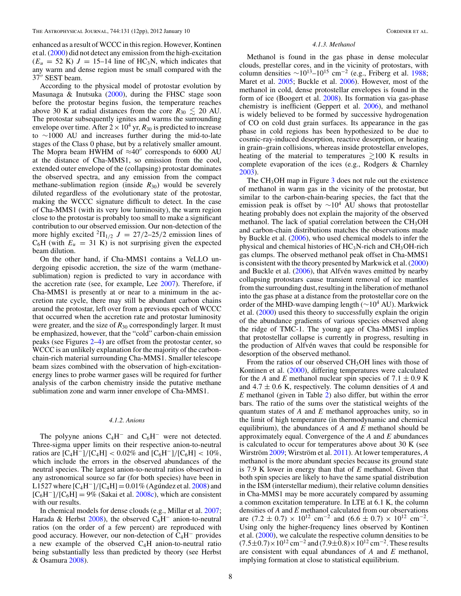<span id="page-7-0"></span>enhanced as a result of WCCC in this region. However, Kontinen et al. [\(2000\)](#page-10-20) did not detect any emission from the high-excitation  $(E_u = 52 \text{ K})$  J = 15–14 line of HC<sub>3</sub>N, which indicates that any warm and dense region must be small compared with the 37" SEST beam.

According to the physical model of protostar evolution by Masunaga & Inutsuka [\(2000\)](#page-10-32), during the FHSC stage soon before the protostar begins fusion, the temperature reaches above 30 K at radial distances from the core  $R_{30} \lesssim 20$  AU. The protostar subsequently ignites and warms the surrounding envelope over time. After  $2 \times 10^4$  yr,  $R_{30}$  is predicted to increase to ∼1000 AU and increases further during the mid-to-late stages of the Class 0 phase, but by a relatively smaller amount. The Mopra beam HWHM of  $\approx 40''$  corresponds to 6000 AU at the distance of Cha-MMS1, so emission from the cool, extended outer envelope of the (collapsing) protostar dominates the observed spectra, and any emission from the compact methane-sublimation region (inside  $R_{30}$ ) would be severely diluted regardless of the evolutionary state of the protostar, making the WCCC signature difficult to detect. In the case of Cha-MMS1 (with its very low luminosity), the warm region close to the protostar is probably too small to make a significant contribution to our observed emission. Our non-detection of the more highly excited  ${}^{2}\Pi_{1/2}$   $J = 27/2-25/2$  emission lines of  $C_6H$  (with  $E_u = 31$  K) is not surprising given the expected beam dilution.

On the other hand, if Cha-MMS1 contains a VeLLO undergoing episodic accretion, the size of the warm (methanesublimation) region is predicted to vary in accordance with the accretion rate (see, for example, Lee [2007\)](#page-10-16). Therefore, if Cha-MMS1 is presently at or near to a minimum in the accretion rate cycle, there may still be abundant carbon chains around the protostar, left over from a previous epoch of WCCC that occurred when the accretion rate and protostar luminosity were greater, and the size of  $R_{30}$  correspondingly larger. It must be emphasized, however, that the "cold" carbon-chain emission peaks (see Figures [2–](#page-3-1)[4\)](#page-4-0) are offset from the protostar center, so WCCC is an unlikely explanation for the majority of the carbonchain-rich material surrounding Cha-MMS1. Smaller telescope beam sizes combined with the observation of high-excitationenergy lines to probe warmer gases will be required for further analysis of the carbon chemistry inside the putative methane sublimation zone and warm inner envelope of Cha-MMS1.

## *4.1.2. Anions*

The polyyne anions  $C_4H^-$  and  $C_6H^-$  were not detected. Three-sigma upper limits on their respective anion-to-neutral ratios are  $[C_4H^-]/[C_4H] < 0.02\%$  and  $[C_6H^-]/[C_6H] < 10\%$ , which include the errors in the observed abundances of the neutral species. The largest anion-to-neutral ratios observed in any astronomical source so far (for both species) have been in L1527 where  $\rm [C_4H^-]/[C_4H] = 0.01\%$  (Agundez et al. [2008\)](#page-10-33) and  $[C_6H^-]/[C_6H] = 9\%$  (Sakai et al. [2008c\)](#page-11-4), which are consistent with our results.

In chemical models for dense clouds (e.g., Millar et al. [2007;](#page-10-34) Harada & Herbst [2008\)](#page-10-35), the observed  $C_6H^-$  anion-to-neutral ratios (on the order of a few percent) are reproduced with good accuracy. However, our non-detection of  $C_4H^-$  provides a new example of the observed  $C_4H$  anion-to-neutral ratio being substantially less than predicted by theory (see Herbst & Osamura [2008\)](#page-10-36).

### *4.1.3. Methanol*

Methanol is found in the gas phase in dense molecular clouds, prestellar cores, and in the vicinity of protostars, with column densities  $\sim 10^{13} - 10^{15}$  cm<sup>-2</sup> (e.g., Friberg et al. [1988;](#page-10-37) Maret et al. [2005;](#page-10-38) Buckle et al. [2006\)](#page-10-39). However, most of the methanol in cold, dense protostellar envelopes is found in the form of ice (Boogert et al. [2008\)](#page-10-40). Its formation via gas-phase chemistry is inefficient (Geppert et al. [2006\)](#page-10-41), and methanol is widely believed to be formed by successive hydrogenation of CO on cold dust grain surfaces. Its appearance in the gas phase in cold regions has been hypothesized to be due to cosmic-ray-induced desorption, reactive desorption, or heating in grain–grain collisions, whereas inside protostellar envelopes, heating of the material to temperatures  $\geq 100$  K results in complete evaporation of the ices (e.g., Rodgers & Charnley [2003\)](#page-10-42).

The  $CH<sub>3</sub>OH$  $CH<sub>3</sub>OH$  $CH<sub>3</sub>OH$  map in Figure  $3$  does not rule out the existence of methanol in warm gas in the vicinity of the protostar, but similar to the carbon-chain-bearing species, the fact that the emission peak is offset by  $\sim 10^4$  AU shows that protostellar heating probably does not explain the majority of the observed methanol. The lack of spatial correlation between the  $CH<sub>3</sub>OH$ and carbon-chain distributions matches the observations made by Buckle et al. [\(2006\)](#page-10-39), who used chemical models to infer the physical and chemical histories of  $HC_3N$ -rich and  $CH_3OH$ -rich gas clumps. The observed methanol peak offset in Cha-MMS1 is consistent with the theory presented by Markwick et al.  $(2000)$ and Buckle et al.  $(2006)$ , that Alfvén waves emitted by nearby collapsing protostars cause transient removal of ice mantles from the surrounding dust, resulting in the liberation of methanol into the gas phase at a distance from the protostellar core on the order of the MHD-wave damping length ( $\sim$ 10<sup>4</sup> AU). Markwick et al. [\(2000\)](#page-10-43) used this theory to successfully explain the origin of the abundance gradients of various species observed along the ridge of TMC-1. The young age of Cha-MMS1 implies that protostellar collapse is currently in progress, resulting in the production of Alfvén waves that could be responsible for desorption of the observed methanol.

From the ratios of our observed CH<sub>3</sub>OH lines with those of Kontinen et al. [\(2000\)](#page-10-20), differing temperatures were calculated for the *A* and *E* methanol nuclear spin species of  $7.1 \pm 0.9$  K and  $4.7 \pm 0.6$  K, respectively. The column densities of A and *E* methanol (given in Table [2\)](#page-6-0) also differ, but within the error bars. The ratio of the sums over the statistical weights of the quantum states of *A* and *E* methanol approaches unity, so in the limit of high temperature (in thermodynamic and chemical equilibrium), the abundances of *A* and *E* methanol should be approximately equal. Convergence of the *A* and *E* abundances is calculated to occur for temperatures above about 30 K (see Wirström [2009;](#page-11-6) Wirström et al. [2011\)](#page-11-7). At lower temperatures, *A* methanol is the more abundant species because its ground state is 7.9 K lower in energy than that of *E* methanol. Given that both spin species are likely to have the same spatial distribution in the ISM (interstellar medium), their relative column densities in Cha-MMS1 may be more accurately compared by assuming a common excitation temperature. In LTE at 6.1 K, the column densities of *A* and *E* methanol calculated from our observations are  $(7.2 \pm 0.7) \times 10^{12}$  cm<sup>-2</sup> and  $(6.6 \pm 0.7) \times 10^{12}$  cm<sup>-2</sup>. Using only the higher-frequency lines observed by Kontinen et al. [\(2000\)](#page-10-20), we calculate the respective column densities to be  $(7.5\pm0.7)\times10^{12}$  cm<sup>-2</sup> and  $(7.9\pm0.8)\times10^{12}$  cm<sup>-2</sup>. These results are consistent with equal abundances of *A* and *E* methanol, implying formation at close to statistical equilibrium.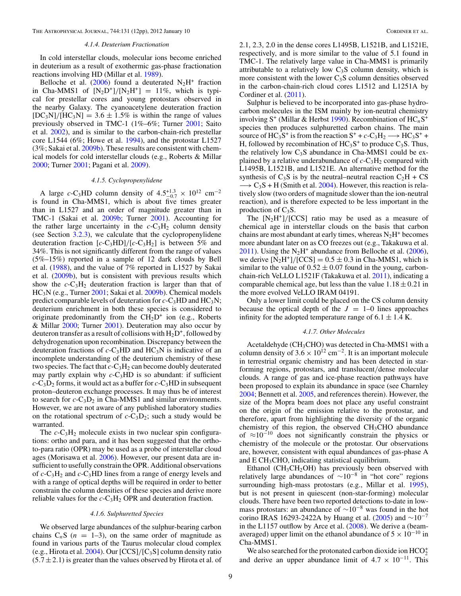### *4.1.4. Deuterium Fractionation*

In cold interstellar clouds, molecular ions become enriched in deuterium as a result of exothermic gas-phase fractionation reactions involving HD (Millar et al. [1989\)](#page-10-44).

Belloche et al. [\(2006\)](#page-10-10) found a deuterated  $N_2H^+$  fraction in Cha-MMS1 of  $[N_2D^+]/[N_2H^+] = 11\%$ , which is typical for prestellar cores and young protostars observed in the nearby Galaxy. The cyanoacetylene deuteration fraction  $[DC_3N]/[HC_3N] = 3.6 \pm 1.5\%$  is within the range of values previously observed in TMC-1 (1%–6%; Turner [2001;](#page-11-8) Saito et al. [2002\)](#page-10-45), and is similar to the carbon-chain-rich prestellar core L1544 (6%; Howe et al. [1994\)](#page-10-46), and the protostar L1527 (3%; Sakai et al. [2009b\)](#page-11-9). These results are consistent with chemical models for cold interstellar clouds (e.g., Roberts & Millar [2000;](#page-10-47) Turner [2001;](#page-11-8) Pagani et al. [2009\)](#page-10-48).

### *4.1.5. Cyclopropenylidene*

<span id="page-8-0"></span>A large *c*-C<sub>3</sub>HD column density of  $4.5^{+1.3}_{-0.7} \times 10^{12}$  cm<sup>-2</sup> is found in Cha-MMS1, which is about five times greater than in L1527 and an order of magnitude greater than in TMC-1 (Sakai et al. [2009b;](#page-11-9) Turner [2001\)](#page-11-8). Accounting for the rather large uncertainty in the  $c$ -C<sub>3</sub>H<sub>2</sub> column density (see Section [3.2.3\)](#page-5-2), we calculate that the cyclopropenylidene deuteration fraction  $[c-C_3HD]/[c-C_3H_2]$  is between 5% and 34%. This is not significantly different from the range of values (5%–15%) reported in a sample of 12 dark clouds by Bell et al. [\(1988\)](#page-10-49), and the value of 7% reported in L1527 by Sakai et al. [\(2009b\)](#page-11-9), but is consistent with previous results which show the  $c$ -C<sub>3</sub>H<sub>2</sub> deuteration fraction is larger than that of HC3N (e.g., Turner [2001;](#page-11-8) Sakai et al. [2009b\)](#page-11-9). Chemical models predict comparable levels of deuteration for  $c$ -C<sub>3</sub>HD and HC<sub>3</sub>N; deuterium enrichment in both these species is considered to originate predominantly from the  $CH<sub>2</sub>D<sup>+</sup>$  ion (e.g., Roberts & Millar [2000;](#page-10-47) Turner [2001\)](#page-11-8). Deuteration may also occur by deuteron transfer as a result of collisions with  $H_2D^+$ , followed by dehydrogenation upon recombination. Discrepancy between the deuteration fractions of  $c$ -C<sub>3</sub>HD and HC<sub>3</sub>N is indicative of an incomplete understanding of the deuterium chemistry of these two species. The fact that  $c$ -C<sub>3</sub>H<sub>2</sub> can become doubly deuterated may partly explain why  $c$ -C<sub>3</sub>HD is so abundant: if sufficient  $c$ -C<sub>3</sub>D<sub>2</sub> forms, it would act as a buffer for  $c$ -C<sub>3</sub>HD in subsequent proton–deuteron exchange processes. It may thus be of interest to search for  $c$ -C<sub>3</sub>D<sub>2</sub> in Cha-MMS1 and similar environments. However, we are not aware of any published laboratory studies on the rotational spectrum of  $c$ -C<sub>3</sub>D<sub>2</sub>; such a study would be warranted.

The  $c$ -C<sub>3</sub>H<sub>2</sub> molecule exists in two nuclear spin configurations: ortho and para, and it has been suggested that the orthoto-para ratio (OPR) may be used as a probe of interstellar cloud ages (Morisawa et al. [2006\)](#page-10-50). However, our present data are insufficient to usefully constrain the OPR. Additional observations of  $c$ -C<sub>3</sub>H<sub>2</sub> and  $c$ -C<sub>3</sub>HD lines from a range of energy levels and with a range of optical depths will be required in order to better constrain the column densities of these species and derive more reliable values for the  $c$ -C<sub>3</sub>H<sub>2</sub> OPR and deuteration fraction.

### *4.1.6. Sulphuretted Species*

We observed large abundances of the sulphur-bearing carbon chains  $C_nS$  ( $n = 1-3$ ), on the same order of magnitude as found in various parts of the Taurus molecular cloud complex (e.g., Hirota et al. [2004\)](#page-10-27). Our  $[CCS]/[C_3S]$  column density ratio  $(5.7 \pm 2.1)$  is greater than the values observed by Hirota et al. of

2.1, 2.3, 2.0 in the dense cores L1495B, L1521B, and L1521E, respectively, and is more similar to the value of 5.1 found in TMC-1. The relatively large value in Cha-MMS1 is primarily attributable to a relatively low  $C_3S$  column density, which is more consistent with the lower  $C_3S$  column densities observed in the carbon-chain-rich cloud cores L1512 and L1251A by Cordiner et al. [\(2011\)](#page-10-4).

Sulphur is believed to be incorporated into gas-phase hydrocarbon molecules in the ISM mainly by ion-neutral chemistry involving S<sup>+</sup> (Millar & Herbst [1990\)](#page-10-51). Recombination of  $HC_nS^+$ species then produces sulphuretted carbon chains. The main source of HC<sub>3</sub>S<sup>+</sup> is from the reaction  $S^+$  + *c*-C<sub>3</sub>H<sub>2</sub>  $\longrightarrow$  HC<sub>3</sub>S<sup>+</sup> + H, followed by recombination of  $HC_3S^+$  to produce  $C_3S$ . Thus, the relatively low  $C_3S$  abundance in Cha-MMS1 could be explained by a relative underabundance of  $c$ -C<sub>3</sub>H<sub>2</sub> compared with L1495B, L1521B, and L1521E. An alternative method for the synthesis of  $C_3S$  is by the neutral–neutral reaction  $C_2H + CS$  $\rightarrow$  C<sub>3</sub>S + H (Smith et al. [2004\)](#page-11-6). However, this reaction is relatively slow (two orders of magnitude slower than the ion-neutral reaction), and is therefore expected to be less important in the production of  $C_3S$ .

The  $[N<sub>2</sub>H<sup>+</sup>]/[CCS]$  ratio may be used as a measure of chemical age in interstellar clouds on the basis that carbon chains are most abundant at early times, whereas  $N_2H^+$  becomes more abundant later on as CO freezes out (e.g., Takakuwa et al. [2011\)](#page-11-3). Using the  $N_2H^+$  abundance from Belloche et al. [\(2006\)](#page-10-10), we derive  $[N_2H^+]/[CCS] = 0.5 \pm 0.3$  in Cha-MMS1, which is similar to the value of  $0.52 \pm 0.07$  found in the young, carbonchain-rich VeLLO L1521F (Takakuwa et al. [2011\)](#page-11-3), indicating a comparable chemical age, but less than the value  $1.18 \pm 0.21$  in the more evolved VeLLO IRAM 04191.

Only a lower limit could be placed on the CS column density because the optical depth of the  $J = 1-0$  lines approaches infinity for the adopted temperature range of  $6.1 \pm 1.4$  K.

### *4.1.7. Other Molecules*

Acetaldehyde (CH<sub>3</sub>CHO) was detected in Cha-MMS1 with a column density of  $3.6 \times 10^{12}$  cm<sup>-2</sup>. It is an important molecule in terrestrial organic chemistry and has been detected in starforming regions, protostars, and translucent/dense molecular clouds. A range of gas and ice-phase reaction pathways have been proposed to explain its abundance in space (see Charnley [2004;](#page-10-52) Bennett et al. [2005,](#page-10-53) and references therein). However, the size of the Mopra beam does not place any useful constraint on the origin of the emission relative to the protostar, and therefore, apart from highlighting the diversity of the organic chemistry of this region, the observed  $CH<sub>3</sub>CHO$  abundance of  $\approx 10^{-10}$  does not significantly constrain the physics or chemistry of the molecule or the protostar. Our observations are, however, consistent with equal abundances of gas-phase A and  $ECH<sub>3</sub>CHO$ , indicating statistical equilibrium.

Ethanol ( $CH<sub>3</sub>CH<sub>2</sub>OH$ ) has previously been observed with relatively large abundances of  $\sim 10^{-8}$  in "hot core" regions surrounding high-mass protostars (e.g., Millar et al. [1995\)](#page-10-54), but is not present in quiescent (non-star-forming) molecular clouds. There have been two reported detections to-date in lowmass protostars: an abundance of <sup>∼</sup>10−<sup>8</sup> was found in the hot corino IRAS 16293-2422A by Huang et al. [\(2005\)](#page-10-55) and  $\sim$ 10<sup>-7</sup> in the L1157 outflow by Arce et al.  $(2008)$ . We derive a (beamaveraged) upper limit on the ethanol abundance of  $5 \times 10^{-10}$  in Cha-MMS1.

We also searched for the protonated carbon dioxide ion  $\mathrm{HCO}_2^+$ and derive an upper abundance limit of  $4.7 \times 10^{-11}$ . This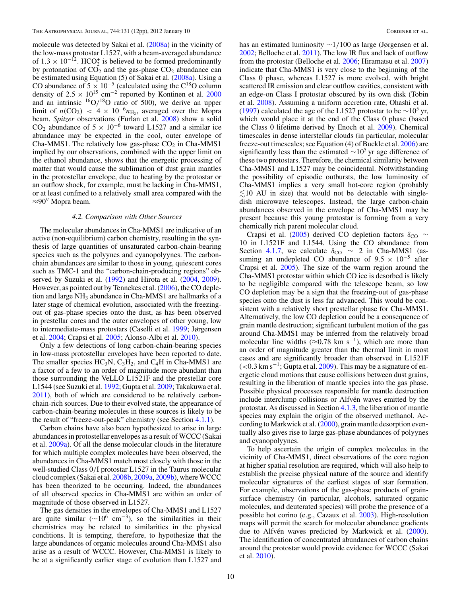molecule was detected by Sakai et al. [\(2008a\)](#page-11-3) in the vicinity of the low-mass protostar L1527, with a beam-averaged abundance of  $1.3 \times 10^{-12}$ . HCO<sup>+</sup> is believed to be formed predominantly by protonation of  $CO_2$  and the gas-phase  $CO_2$  abundance can be estimated using Equation (5) of Sakai et al. [\(2008a\)](#page-11-3). Using a CO abundance of  $5 \times 10^{-5}$  (calculated using the C<sup>18</sup>O column density of  $2.5 \times 10^{15}$  cm<sup>-2</sup> reported by Kontinen et al. [2000](#page-10-20) and an intrinsic  ${}^{16}O/{}^{18}O$  ratio of 500), we derive an upper limit of  $n({\rm CO_2})$  <  $4 \times 10^{-6}n_{\rm H_2}$ , averaged over the Mopra beam. *Spitzer* observations (Furlan et al. [2008\)](#page-10-57) show a solid CO<sub>2</sub> abundance of  $5 \times 10^{-6}$  toward L1527 and a similar ice abundance may be expected in the cool, outer envelope of Cha-MMS1. The relatively low gas-phase  $CO<sub>2</sub>$  in Cha-MMS1 implied by our observations, combined with the upper limit on the ethanol abundance, shows that the energetic processing of matter that would cause the sublimation of dust grain mantles in the protostellar envelope, due to heating by the protostar or an outflow shock, for example, must be lacking in Cha-MMS1, or at least confined to a relatively small area compared with the  $\approx$ 90" Mopra beam.

### *4.2. Comparison with Other Sources*

The molecular abundances in Cha-MMS1 are indicative of an active (non-equilibrium) carbon chemistry, resulting in the synthesis of large quantities of unsaturated carbon-chain-bearing species such as the polyynes and cyanopolyynes. The carbonchain abundances are similar to those in young, quiescent cores such as TMC-1 and the "carbon-chain-producing regions" observed by Suzuki et al. [\(1992\)](#page-11-7) and Hirota et al. [\(2004,](#page-10-27) [2009\)](#page-10-29). However, as pointed out by Tennekes et al. [\(2006\)](#page-11-1), the CO depletion and large NH<sub>3</sub> abundance in Cha-MMS1 are hallmarks of a later stage of chemical evolution, associated with the freezingout of gas-phase species onto the dust, as has been observed in prestellar cores and the outer envelopes of other young, low to intermediate-mass protostars (Caselli et al. [1999;](#page-10-58) Jørgensen et al. [2004;](#page-10-59) Crapsi et al. [2005;](#page-10-60) Alonso-Albi et al. [2010\)](#page-10-61).

Only a few detections of long carbon-chain-bearing species in low-mass protostellar envelopes have been reported to date. The smaller species  $HC_3N$ ,  $C_3H_2$ , and  $C_4H$  in Cha-MMS1 are a factor of a few to an order of magnitude more abundant than those surrounding the VeLLO L1521F and the prestellar core L1544 (see Suzuki et al. [1992;](#page-11-7) Gupta et al. [2009;](#page-10-3) Takakuwa et al. [2011\)](#page-11-3), both of which are considered to be relatively carbonchain-rich sources. Due to their evolved state, the appearance of carbon-chain-bearing molecules in these sources is likely to be the result of "freeze-out-peak" chemistry (see Section [4.1.1\)](#page-6-1).

Carbon chains have also been hypothesized to arise in large abundances in protostellar envelopes as a result of WCCC (Sakai et al. [2009a\)](#page-11-1). Of all the dense molecular clouds in the literature for which multiple complex molecules have been observed, the abundances in Cha-MMS1 match most closely with those in the well-studied Class 0/I protostar L1527 in the Taurus molecular cloud complex (Sakai et al. [2008b,](#page-11-0) [2009a,](#page-11-1) [2009b\)](#page-11-9), where WCCC has been theorized to be occurring. Indeed, the abundances of all observed species in Cha-MMS1 are within an order of magnitude of those observed in L1527.

The gas densities in the envelopes of Cha-MMS1 and L1527 are quite similar ( $\sim$ 10<sup>6</sup> cm<sup>-3</sup>), so the similarities in their chemistries may be related to similarities in the physical conditions. It is tempting, therefore, to hypothesize that the large abundances of organic molecules around Cha-MMS1 also arise as a result of WCCC. However, Cha-MMS1 is likely to be at a significantly earlier stage of evolution than L1527 and

has an estimated luminosity ∼1/100 as large (Jørgensen et al. [2002;](#page-10-62) Belloche et al. [2011\)](#page-10-11). The low IR flux and lack of outflow from the protostar (Belloche et al. [2006;](#page-10-10) Hiramatsu et al. [2007\)](#page-10-63) indicate that Cha-MMS1 is very close to the beginning of the Class 0 phase, whereas L1527 is more evolved, with bright scattered IR emission and clear outflow cavities, consistent with an edge-on Class I protostar obscured by its own disk (Tobin et al. [2008\)](#page-11-10). Assuming a uniform accretion rate, Ohashi et al. [\(1997\)](#page-10-64) calculated the age of the L1527 protostar to be  $\sim$ 10<sup>5</sup> yr, which would place it at the end of the Class 0 phase (based the Class 0 lifetime derived by Enoch et al. [2009\)](#page-10-65). Chemical timescales in dense interstellar clouds (in particular, molecular freeze-out timescales; see Equation (4) of Buckle et al. [2006\)](#page-10-39) are significantly less than the estimated  $\sim 10^5$  yr age difference of these two protostars. Therefore, the chemical similarity between Cha-MMS1 and L1527 may be coincidental. Notwithstanding the possibility of episodic outbursts, the low luminosity of Cha-MMS1 implies a very small hot-core region (probably  $\leq$ 10 AU in size) that would not be detectable with singledish microwave telescopes. Instead, the large carbon-chain abundances observed in the envelope of Cha-MMS1 may be present because this young protostar is forming from a very chemically rich parent molecular cloud.

Crapsi et al. [\(2005\)](#page-10-60) derived CO depletion factors  $\delta_{\text{CO}}$  ∼ 10 in L1521F and L1544. Using the CO abundance from Section [4.1.7,](#page-8-0) we calculate  $\delta_{\text{CO}} \sim 2$  in Cha-MMS1 (assuming an undepleted CO abundance of  $9.5 \times 10^{-5}$  after Crapsi et al. [2005\)](#page-10-60). The size of the warm region around the Cha-MMS1 protostar within which CO ice is desorbed is likely to be negligible compared with the telescope beam, so low CO depletion may be a sign that the freezing-out of gas-phase species onto the dust is less far advanced. This would be consistent with a relatively short prestellar phase for Cha-MMS1. Alternatively, the low CO depletion could be a consequence of grain mantle destruction; significant turbulent motion of the gas around Cha-MMS1 may be inferred from the relatively broad molecular line widths ( $\approx$ 0.78 km s<sup>-1</sup>), which are more than an order of magnitude greater than the thermal limit in most cases and are significantly broader than observed in L1521F  $(<$ 0.3 km s<sup>-1</sup>; Gupta et al. [2009\)](#page-10-3). This may be a signature of energetic cloud motions that cause collisions between dust grains, resulting in the liberation of mantle species into the gas phase. Possible physical processes responsible for mantle destruction include interclump collisions or Alfvén waves emitted by the protostar. As discussed in Section [4.1.3,](#page-7-0) the liberation of mantle species may explain the origin of the observed methanol. According to Markwick et al. [\(2000\)](#page-10-43), grain mantle desorption eventually also gives rise to large gas-phase abundances of polyynes and cyanopolyynes.

To help ascertain the origin of complex molecules in the vicinity of Cha-MMS1, direct observations of the core region at higher spatial resolution are required, which will also help to establish the precise physical nature of the source and identify molecular signatures of the earliest stages of star formation. For example, observations of the gas-phase products of grainsurface chemistry (in particular, alcohols, saturated organic molecules, and deuterated species) will probe the presence of a possible hot corino (e.g., Cazaux et al. [2003\)](#page-10-66). High-resolution maps will permit the search for molecular abundance gradients due to Alfvén waves predicted by Markwick et al. ([2000\)](#page-10-43). The identification of concentrated abundances of carbon chains around the protostar would provide evidence for WCCC (Sakai et al. [2010\)](#page-11-8).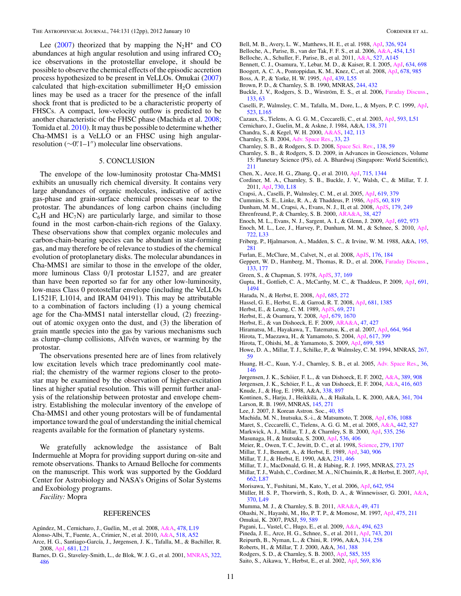<span id="page-10-66"></span><span id="page-10-58"></span><span id="page-10-53"></span><span id="page-10-52"></span><span id="page-10-49"></span><span id="page-10-40"></span><span id="page-10-39"></span><span id="page-10-30"></span><span id="page-10-26"></span><span id="page-10-14"></span><span id="page-10-11"></span><span id="page-10-10"></span><span id="page-10-7"></span><span id="page-10-6"></span><span id="page-10-2"></span>Lee [\(2007\)](#page-10-16) theorized that by mapping the  $N_2H^+$  and CO abundances at high angular resolution and using infrared  $CO<sub>2</sub>$ ice observations in the protostellar envelope, it should be possible to observe the chemical effects of the episodic accretion process hypothesized to be present in VeLLOs. Omukai [\(2007\)](#page-10-15) calculated that high-excitation submillimeter  $H_2O$  emission lines may be used as a tracer for the presence of the infall shock front that is predicted to be a characteristic property of FHSCs. A compact, low-velocity outflow is predicted to be another characteristic of the FHSC phase (Machida et al. [2008;](#page-10-67) Tomida et al. [2010\)](#page-11-9). It may thus be possible to determine whether Cha-MMS1 is a VeLLO or an FHSC using high angularresolution  $(\sim 0$ ". 1–1") molecular line observations.

## 5. CONCLUSION

<span id="page-10-65"></span><span id="page-10-60"></span><span id="page-10-57"></span><span id="page-10-41"></span><span id="page-10-37"></span><span id="page-10-35"></span><span id="page-10-31"></span><span id="page-10-28"></span><span id="page-10-25"></span><span id="page-10-24"></span><span id="page-10-18"></span><span id="page-10-17"></span><span id="page-10-12"></span><span id="page-10-4"></span><span id="page-10-3"></span><span id="page-10-0"></span>The envelope of the low-luminosity protostar Cha-MMS1 exhibits an unusually rich chemical diversity. It contains very large abundances of organic molecules, indicative of active gas-phase and grain-surface chemical processes near to the protostar. The abundances of long carbon chains (including  $C_6H$  and  $HC_7N$ ) are particularly large, and similar to those found in the most carbon-chain-rich regions of the Galaxy. These observations show that complex organic molecules and carbon-chain-bearing species can be abundant in star-forming gas, and may therefore be of relevance to studies of the chemical evolution of protoplanetary disks. The molecular abundances in Cha-MMS1 are similar to those in the envelope of the older, more luminous Class 0/I protostar L1527, and are greater than have been reported so far for any other low-luminosity, low-mass Class 0 protostellar envelope (including the VeLLOs L1521F, L1014, and IRAM 04191). This may be attributable to a combination of factors including (1) a young chemical age for the Cha-MMS1 natal interstellar cloud, (2) freezingout of atomic oxygen onto the dust, and (3) the liberation of grain mantle species into the gas by various mechanisms such as clump–clump collisions, Alfvén waves, or warming by the protostar.

<span id="page-10-67"></span><span id="page-10-63"></span><span id="page-10-62"></span><span id="page-10-59"></span><span id="page-10-55"></span><span id="page-10-46"></span><span id="page-10-43"></span><span id="page-10-38"></span><span id="page-10-36"></span><span id="page-10-32"></span><span id="page-10-29"></span><span id="page-10-27"></span><span id="page-10-22"></span><span id="page-10-20"></span><span id="page-10-16"></span><span id="page-10-13"></span><span id="page-10-5"></span><span id="page-10-1"></span>The observations presented here are of lines from relatively low excitation levels which trace predominantly cool material; the chemistry of the warmer regions closer to the protostar may be examined by the observation of higher-excitation lines at higher spatial resolution. This will permit further analysis of the relationship between protostar and envelope chemistry. Establishing the molecular inventory of the envelope of Cha-MMS1 and other young protostars will be of fundamental importance toward the goal of understanding the initial chemical reagents available for the formation of planetary systems.

<span id="page-10-64"></span><span id="page-10-54"></span><span id="page-10-51"></span><span id="page-10-50"></span><span id="page-10-44"></span><span id="page-10-34"></span><span id="page-10-23"></span><span id="page-10-15"></span><span id="page-10-8"></span>We gratefully acknowledge the assistance of Balt Indermuehle at Mopra for providing support during on-site and remote observations. Thanks to Arnaud Belloche for comments on the manuscript. This work was supported by the Goddard Center for Astrobiology and NASA's Origins of Solar Systems and Exobiology programs.

<span id="page-10-61"></span><span id="page-10-56"></span><span id="page-10-48"></span><span id="page-10-47"></span><span id="page-10-33"></span><span id="page-10-19"></span><span id="page-10-9"></span>*Facility:* Mopra

## REFERENCES

- <span id="page-10-45"></span><span id="page-10-42"></span><span id="page-10-21"></span>Agúndez, M., Cernicharo, J., Guélin, M., et al. 2008, [A&A,](http://dx.doi.org/10.1051/0004-6361:20078985) [478, L19](http://adsabs.harvard.edu/abs/2008A&A...478L..19A)
- Alonso-Albi, T., Fuente, A., Crimier, N., et al. 2010, [A&A,](http://dx.doi.org/10.1051/0004-6361/201014317) [518, A52](http://adsabs.harvard.edu/abs/2010A&A...518A..52A)
- Arce, H. G., Santiago-García, J., Jørgensen, J. K., Tafalla, M., & Bachiller, R. 2008, [ApJ,](http://dx.doi.org/10.1086/590110) [681, L21](http://adsabs.harvard.edu/abs/2008ApJ...681L..21A)
- Barnes, D. G., Staveley-Smith, L., de Blok, W. J. G., et al. 2001, [MNRAS,](http://dx.doi.org/10.1046/j.1365-8711.2001.04102.x) [322,](http://adsabs.harvard.edu/abs/2001MNRAS.322..486B) [486](http://adsabs.harvard.edu/abs/2001MNRAS.322..486B)
- Bell, M. B., Avery, L. W., Matthews, H. E., et al. 1988, [ApJ,](http://dx.doi.org/10.1086/166150) [326, 924](http://adsabs.harvard.edu/abs/1988ApJ...326..924B)
- Belloche, A., Parise, B., van der Tak, F. F. S., et al. 2006, [A&A,](http://dx.doi.org/10.1051/0004-6361:20065306) [454, L51](http://adsabs.harvard.edu/abs/2006A&A...454L..51B)
- Belloche, A., Schuller, F., Parise, B., et al. 2011, [A&A,](http://dx.doi.org/10.1051/0004-6361/201015733) [527, A145](http://adsabs.harvard.edu/abs/2011A&A...527A.145B)
- Bennett, C. J., Osamura, Y., Lebar, M. D., & Kaiser, R. I. 2005, [ApJ,](http://dx.doi.org/10.1086/452618) [634, 698](http://adsabs.harvard.edu/abs/2005ApJ...634..698B) Boogert, A. C. A., Pontoppidan, K. M., Knez, C., et al. 2008, [ApJ,](http://dx.doi.org/10.1086/533425) [678, 985](http://adsabs.harvard.edu/abs/2008ApJ...678..985B)
- 
- Boss, A. P., & Yorke, H. W. 1995, [ApJ,](http://dx.doi.org/10.1086/187743) [439, L55](http://adsabs.harvard.edu/abs/1995ApJ...439L..55B) Brown, P. D., & Charnley, S. B. 1990, MNRAS, [244, 432](http://adsabs.harvard.edu/abs/1990MNRAS.244..432B)
- Buckle, J. V., Rodgers, S. D., Wirström, E. S., et al. 2006, [Faraday Discuss.,](http://dx.doi.org/10.1039/b516772h) [133, 63](http://adsabs.harvard.edu/abs/2006FaDi..133...63B)
- Caselli, P., Walmsley, C. M., Tafalla, M., Dore, L., & Myers, P. C. 1999, [ApJ,](http://dx.doi.org/10.1086/312280) [523, L165](http://adsabs.harvard.edu/abs/1999ApJ...523L.165C)
- Cazaux, S., Tielens, A. G. G. M., Ceccarelli, C., et al. 2003, [ApJ,](http://dx.doi.org/10.1086/378038) [593, L51](http://adsabs.harvard.edu/abs/2003ApJ...593L..51C)
- Cernicharo, J., Guelin, M., & Askne, J. 1984, A&A, [138, 371](http://adsabs.harvard.edu/abs/1984A&A...138..371C)
- Chandra, S., & Kegel, W. H. 2000, [A&AS,](http://dx.doi.org/10.1051/aas:2000142) [142, 113](http://adsabs.harvard.edu/abs/2000A&AS..142..113C)
- Charnley, S. B. 2004, [Adv. Space Res.,](http://dx.doi.org/10.1016/j.asr.2003.08.005) [33, 23](http://adsabs.harvard.edu/abs/2004AdSpR..33...23C)
- Charnley, S. B., & Rodgers, S. D. 2008, [Space Sci. Rev.,](http://dx.doi.org/10.1007/s11214-008-9331-6) [138, 59](http://adsabs.harvard.edu/abs/2008SSRv..138...59C)
- Charnley, S. B., & Rodgers, S. D. 2009, in Advances in Geosciences, Volume 15: Planetary Science (PS), ed. A. Bhardwaj (Singapore: World Scientific), [211](http://adsabs.harvard.edu/abs/2009aogs...15..211C)
- Chen, X., Arce, H. G., Zhang, Q., et al. 2010, [ApJ,](http://dx.doi.org/10.1088/0004-637X/715/2/1344) [715, 1344](http://adsabs.harvard.edu/abs/2010ApJ...715.1344C)
- Cordiner, M. A., Charnley, S. B., Buckle, J. V., Walsh, C., & Millar, T. J. 2011, [ApJ,](http://dx.doi.org/10.1088/2041-8205/730/2/L18) [730, L18](http://adsabs.harvard.edu/abs/2011ApJ...730L..18C)
- Crapsi, A., Caselli, P., Walmsley, C. M., et al. 2005, [ApJ,](http://dx.doi.org/10.1086/426472) [619, 379](http://adsabs.harvard.edu/abs/2005ApJ...619..379C)
- Cummins, S. E., Linke, R. A., & Thaddeus, P. 1986, [ApJS,](http://dx.doi.org/10.1086/191102) [60, 819](http://adsabs.harvard.edu/abs/1986ApJS...60..819C)
- Dunham, M. M., Crapsi, A., Evans, N. J., II, et al. 2008, [ApJS,](http://dx.doi.org/10.1086/591085) [179, 249](http://adsabs.harvard.edu/abs/2008ApJS..179..249D)
- Ehrenfreund, P., & Charnley, S. B. 2000, [ARA&A,](http://dx.doi.org/10.1146/annurev.astro.38.1.427) [38, 427](http://adsabs.harvard.edu/abs/2000ARA&A..38..427E)
- Enoch, M. L., Evans, N. J., Sargent, A. I., & Glenn, J. 2009, [ApJ,](http://dx.doi.org/10.1088/0004-637X/692/2/973) [692, 973](http://adsabs.harvard.edu/abs/2009ApJ...692..973E)
- Enoch, M. L., Lee, J., Harvey, P., Dunham, M. M., & Schnee, S. 2010, [ApJ,](http://dx.doi.org/10.1088/2041-8205/722/1/L33) [722, L33](http://adsabs.harvard.edu/abs/2010ApJ...722L..33E)
- Friberg, P., Hjalmarson, A., Madden, S. C., & Irvine, W. M. 1988, A&A, [195,](http://adsabs.harvard.edu/abs/1988A&A...195..281F) [281](http://adsabs.harvard.edu/abs/1988A&A...195..281F)
- Furlan, E., McClure, M., Calvet, N., et al. 2008, [ApJS,](http://dx.doi.org/10.1086/527301) [176, 184](http://adsabs.harvard.edu/abs/2008ApJS..176..184F)
- Geppert, W. D., Hamberg, M., Thomas, R. D., et al. 2006, [Faraday Discuss.,](http://dx.doi.org/10.1039/b516010c) [133, 177](http://adsabs.harvard.edu/abs/2006FaDi..133..177G)
- Green, S., & Chapman, S. 1978, [ApJS,](http://dx.doi.org/10.1086/190523) [37, 169](http://adsabs.harvard.edu/abs/1978ApJS...37..169G)
- Gupta, H., Gottlieb, C. A., McCarthy, M. C., & Thaddeus, P. 2009, [ApJ,](http://dx.doi.org/10.1088/0004-637X/691/2/1494) [691,](http://adsabs.harvard.edu/abs/2009ApJ...691.1494G) [1494](http://adsabs.harvard.edu/abs/2009ApJ...691.1494G)
- Harada, N., & Herbst, E. 2008, [ApJ,](http://dx.doi.org/10.1086/590468) [685, 272](http://adsabs.harvard.edu/abs/2008ApJ...685..272H)
- Hassel, G. E., Herbst, E., & Garrod, R. T. 2008, [ApJ,](http://dx.doi.org/10.1086/588185) [681, 1385](http://adsabs.harvard.edu/abs/2008ApJ...681.1385H)
- Herbst, E., & Leung, C. M. 1989, [ApJS,](http://dx.doi.org/10.1086/191314) [69, 271](http://adsabs.harvard.edu/abs/1989ApJS...69..271H)
- Herbst, E., & Osamura, Y. 2008, [ApJ,](http://dx.doi.org/10.1086/587803) [679, 1670](http://adsabs.harvard.edu/abs/2008ApJ...679.1670H)
- Herbst, E., & van Dishoeck, E. F. 2009, [ARA&A,](http://dx.doi.org/10.1146/annurev-astro-082708-101654) [47, 427](http://adsabs.harvard.edu/abs/2009ARA&A..47..427H)
- Hiramatsu, M., Hayakawa, T., Tatematsu, K., et al. 2007, [ApJ,](http://dx.doi.org/10.1086/519269) [664, 964](http://adsabs.harvard.edu/abs/2007ApJ...664..964H)
- Hirota, T., Maezawa, H., & Yamamoto, S. 2004, [ApJ,](http://dx.doi.org/10.1086/425261) [617, 399](http://adsabs.harvard.edu/abs/2004ApJ...617..399H)
- Hirota, T., Ohishi, M., & Yamamoto, S. 2009, [ApJ,](http://dx.doi.org/10.1088/0004-637X/699/1/585) [699, 585](http://adsabs.harvard.edu/abs/2009ApJ...699..585H)
- Howe, D. A., Millar, T. J., Schilke, P., & Walmsley, C. M. 1994, MNRAS, [267,](http://adsabs.harvard.edu/abs/1994MNRAS.267...59H) [59](http://adsabs.harvard.edu/abs/1994MNRAS.267...59H)
- Huang, H.-C., Kuan, Y.-J., Charnley, S. B., et al. 2005, [Adv. Space Res.,](http://dx.doi.org/10.1016/j.asr.2005.03.115) [36,](http://adsabs.harvard.edu/abs/2005AdSpR..36..146H) [146](http://adsabs.harvard.edu/abs/2005AdSpR..36..146H)
- Jørgensen, J. K., Schöier, F. L., & van Dishoeck, E. F. 2002, [A&A,](http://dx.doi.org/10.1051/0004-6361:20020681) [389, 908](http://adsabs.harvard.edu/abs/2002A&A...389..908J)
- Jørgensen, J. K., Schöier, F. L., & van Dishoeck, E. F. 2004, [A&A,](http://dx.doi.org/10.1051/0004-6361:20034440) [416, 603](http://adsabs.harvard.edu/abs/2004A&A...416..603J) Knude, J., & Hog, E. 1998, A&A, [338, 897](http://adsabs.harvard.edu/abs/1998A&A...338..897K)
- 
- Kontinen, S., Harju, J., Heikkilä, A., & Haikala, L. K. 2000, A&A, [361, 704](http://adsabs.harvard.edu/abs/2000A&A...361..704K) Larson, R. B. 1969, MNRAS, [145, 271](http://adsabs.harvard.edu/abs/1969MNRAS.145..271L)
- Lee, J. 2007, J. Korean Astron. Soc., [40, 85](http://adsabs.harvard.edu/abs/2007JKAS...40...85L)
- Machida, M. N., Inutsuka, S.-i., & Matsumoto, T. 2008, [ApJ,](http://dx.doi.org/10.1086/528364) [676, 1088](http://adsabs.harvard.edu/abs/2008ApJ...676.1088M)
- Maret, S., Ceccarelli, C., Tielens, A. G. G. M., et al. 2005, [A&A,](http://dx.doi.org/10.1051/0004-6361:20052899) [442, 527](http://adsabs.harvard.edu/abs/2005A&A...442..527M)
- Markwick, A. J., Millar, T. J., & Charnley, S. B. 2000, [ApJ,](http://dx.doi.org/10.1086/308814) [535, 256](http://adsabs.harvard.edu/abs/2000ApJ...535..256M)
- Masunaga, H., & Inutsuka, S. 2000, [ApJ,](http://dx.doi.org/10.1086/308901) [536, 406](http://adsabs.harvard.edu/abs/2000ApJ...536..406M)
- Meier, R., Owen, T. C., Jewitt, D. C., et al. 1998, [Science,](http://dx.doi.org/10.1126/science.279.5357.1707) [279, 1707](http://adsabs.harvard.edu/abs/1998Sci...279.1707M)
- Millar, T. J., Bennett, A., & Herbst, E. 1989, [ApJ,](http://dx.doi.org/10.1086/167444) [340, 906](http://adsabs.harvard.edu/abs/1989ApJ...340..906M)
- Millar, T. J., & Herbst, E. 1990, A&A, [231, 466](http://adsabs.harvard.edu/abs/1990A&A...231..466M)
- Millar, T. J., MacDonald, G. H., & Habing, R. J. 1995, MNRAS, [273, 25](http://adsabs.harvard.edu/abs/1995MNRAS.273...25M)
- Millar, T. J., Walsh, C., Cordiner, M. A., Ní Chuimín, R., & Herbst, E. 2007, [ApJ,](http://dx.doi.org/10.1086/519376) [662, L87](http://adsabs.harvard.edu/abs/2007ApJ...662L..87M)
	- Morisawa, Y., Fushitani, M., Kato, Y., et al. 2006, [ApJ,](http://dx.doi.org/10.1086/501041) [642, 954](http://adsabs.harvard.edu/abs/2006ApJ...642..954M)
- Müller, H. S. P., Thorwirth, S., Roth, D. A., & Winnewisser, G. 2001, [A&A,](http://dx.doi.org/10.1051/0004-6361:20010367) [370, L49](http://adsabs.harvard.edu/abs/2001A&A...370L..49M)
- Mumma, M. J., & Charnley, S. B. 2011, [ARA&A,](http://dx.doi.org/10.1146/annurev-astro-081309-130811) [49, 471](http://adsabs.harvard.edu/abs/2011ARA&A..49..471M)
- Ohashi, N., Hayashi, M., Ho, P. T. P., & Momose, M. 1997, [ApJ,](http://dx.doi.org/10.1086/303533) [475, 211](http://adsabs.harvard.edu/abs/1997ApJ...475..211O) Omukai, K. 2007, PASJ, [59, 589](http://adsabs.harvard.edu/abs/2007PASJ...59..589O)
- Pagani, L., Vastel, C., Hugo, E., et al. 2009, [A&A,](http://dx.doi.org/10.1051/0004-6361:200810587) [494, 623](http://adsabs.harvard.edu/abs/2009A&A...494..623P)
- Pineda, J. E., Arce, H. G., Schnee, S., et al. 2011, [ApJ,](http://dx.doi.org/10.1088/0004-637X/743/2/201) [743, 201](http://adsabs.harvard.edu/abs/2011ApJ...743..201P)
- Reipurth, B., Nyman, L., & Chini, R. 1996, A&A, [314, 258](http://adsabs.harvard.edu/abs/1996A&A...314..258R)
- Roberts, H., & Millar, T. J. 2000, A&A, [361, 388](http://adsabs.harvard.edu/abs/2000A&A...361..388R)
- Rodgers, S. D., & Charnley, S. B. 2003, [ApJ,](http://dx.doi.org/10.1086/345497) [585, 355](http://adsabs.harvard.edu/abs/2003ApJ...585..355R)
- Saito, S., Aikawa, Y., Herbst, E., et al. 2002, [ApJ,](http://dx.doi.org/10.1086/339474) [569, 836](http://adsabs.harvard.edu/abs/2002ApJ...569..836S)